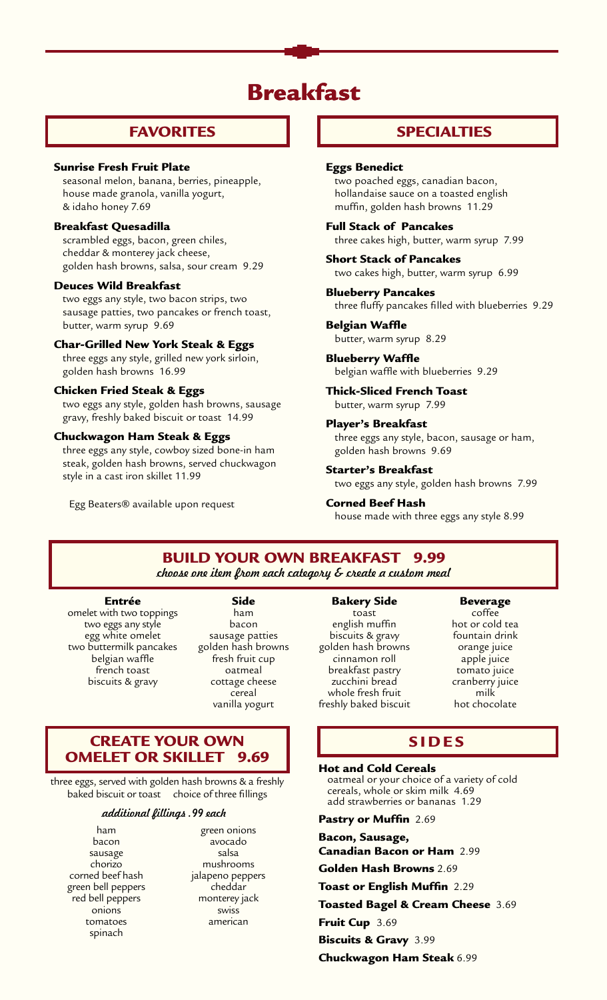# Breakfast

## FAVORITES

#### Sunrise Fresh Fruit Plate

seasonal melon, banana, berries, pineapple, house made granola, vanilla yogurt, & idaho honey 7.69

### Breakfast Quesadilla

 scrambled eggs, bacon, green chiles, cheddar & monterey jack cheese, golden hash browns, salsa, sour cream 9.29

#### Deuces Wild Breakfast

two eggs any style, two bacon strips, two sausage patties, two pancakes or french toast, butter, warm syrup 9.69

### Char-Grilled New York Steak & Eggs

three eggs any style, grilled new york sirloin, golden hash browns 16.99

## Chicken Fried Steak & Eggs

two eggs any style, golden hash browns, sausage gravy, freshly baked biscuit or toast 14.99

#### Chuckwagon Ham Steak & Eggs

three eggs any style, cowboy sized bone-in ham steak, golden hash browns, served chuckwagon style in a cast iron skillet 11.99

Egg Beaters® available upon request

## SPECIALTIES

## Eggs Benedict

two poached eggs, canadian bacon, hollandaise sauce on a toasted english muffin, golden hash browns 11.29

### Full Stack of Pancakes three cakes high, butter, warm syrup 7.99

Short Stack of Pancakes two cakes high, butter, warm syrup 6.99

Blueberry Pancakes three fluffy pancakes filled with blueberries 9.29

#### Belgian Waffle

butter, warm syrup 8.29

Blueberry Waffle belgian waffle with blueberries 9.29

Thick-Sliced French Toast butter, warm syrup 7.99

#### Player's Breakfast

three eggs any style, bacon, sausage or ham, golden hash browns 9.69

#### Starter's Breakfast

two eggs any style, golden hash browns 7.99

Corned Beef Hash

house made with three eggs any style 8.99

## Build Your Own Breakfast 9.99

*choose one item from each category & create a custom meal*

#### Entrée

omelet with two toppings two eggs any style egg white omelet two buttermilk pancakes belgian waffle french toast biscuits & gravy

Side ham bacon sausage patties golden hash browns fresh fruit cup oatmeal cottage cheese cereal vanilla yogurt

## Create Your Own Omelet or Skillet 9.69

three eggs, served with golden hash browns & a freshly baked biscuit or toast choice of three fillings

#### *additional fillings .99 each*

ham bacon sausage chorizo corned beef hash green bell peppers red bell peppers onions tomatoes spinach

green onions avocado salsa mushrooms jalapeno peppers cheddar monterey jack swiss american

#### Bakery Side

toast english muffin biscuits & gravy golden hash browns cinnamon roll breakfast pastry zucchini bread whole fresh fruit freshly baked biscuit Beverage

coffee hot or cold tea fountain drink orange juice apple juice tomato juice cranberry juice milk hot chocolate

## **SIDES**

#### Hot and Cold Cereals

oatmeal or your choice of a variety of cold cereals, whole or skim milk 4.69 add strawberries or bananas 1.29

Pastry or Muffin 2.69

Bacon, Sausage, Canadian Bacon or Ham 2.99

Golden Hash Browns 2.69

Toast or English Muffin 2.29

Toasted Bagel & Cream Cheese 3.69

Fruit Cup 3.69

Biscuits & Gravy 3.99

Chuckwagon Ham Steak 6.99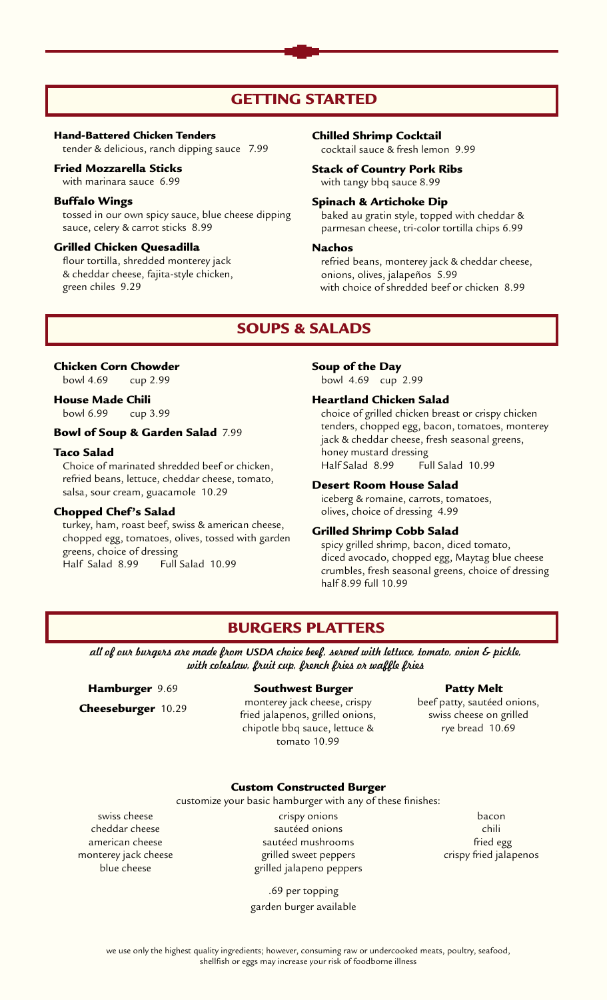## GETTING STARTED

#### Hand-Battered Chicken Tenders

tender & delicious, ranch dipping sauce 7.99

#### Fried Mozzarella Sticks

with marinara sauce 6.99

### Buffalo Wings

tossed in our own spicy sauce, blue cheese dipping sauce, celery & carrot sticks 8.99

#### Grilled Chicken Quesadilla

flour tortilla, shredded monterey jack & cheddar cheese, fajita-style chicken, green chiles 9.29

#### Chilled Shrimp Cocktail

cocktail sauce & fresh lemon 9.99

### Stack of Country Pork Ribs with tangy bbq sauce 8.99

## Spinach & Artichoke Dip

baked au gratin style, topped with cheddar & parmesan cheese, tri-color tortilla chips 6.99

#### Nachos

refried beans, monterey jack & cheddar cheese, onions, olives, jalapeños 5.99 with choice of shredded beef or chicken 8.99

## SOUPS & SALADS

## Chicken Corn Chowder

bowl 4.69 cup 2.99

## House Made Chili

bowl 6.99 cup 3.99

### Bowl of Soup & Garden Salad 7.99

#### Taco Salad

Choice of marinated shredded beef or chicken, refried beans, lettuce, cheddar cheese, tomato, salsa, sour cream, guacamole 10.29

#### Chopped Chef's Salad

turkey, ham, roast beef, swiss & american cheese, chopped egg, tomatoes, olives, tossed with garden greens, choice of dressing Half Salad 8.99 Full Salad 10.99

#### Soup of the Day

bowl 4.69 cup 2.99

#### Heartland Chicken Salad

choice of grilled chicken breast or crispy chicken tenders, chopped egg, bacon, tomatoes, monterey jack & cheddar cheese, fresh seasonal greens, honey mustard dressing Half Salad 8.99 Full Salad 10.99

## Desert Room House Salad

iceberg & romaine, carrots, tomatoes, olives, choice of dressing 4.99

## Grilled Shrimp Cobb Salad

spicy grilled shrimp, bacon, diced tomato, diced avocado, chopped egg, Maytag blue cheese crumbles, fresh seasonal greens, choice of dressing half 8.99 full 10.99

## BURGERS PLATTERS

*all of our burgers are made from USDA choice beef, served with lettuce, tomato, onion & pickle, with coleslaw, fruit cup, french fries or waffle fries*

## Hamburger 9.69

Cheeseburger 10.29

#### Southwest Burger

monterey jack cheese, crispy fried jalapenos, grilled onions, chipotle bbq sauce, lettuce & tomato 10.99

#### Patty Melt

 beef patty, sautéed onions, swiss cheese on grilled rye bread 10.69

#### Custom Constructed Burger

customize your basic hamburger with any of these finishes:

swiss cheese cheddar cheese american cheese monterey jack cheese blue cheese

crispy onions sautéed onions sautéed mushrooms grilled sweet peppers grilled jalapeno peppers

.69 per topping garden burger available

bacon chili fried egg crispy fried jalapenos

we use only the highest quality ingredients; however, consuming raw or undercooked meats, poultry, seafood, shellfish or eggs may increase your risk of foodborne illness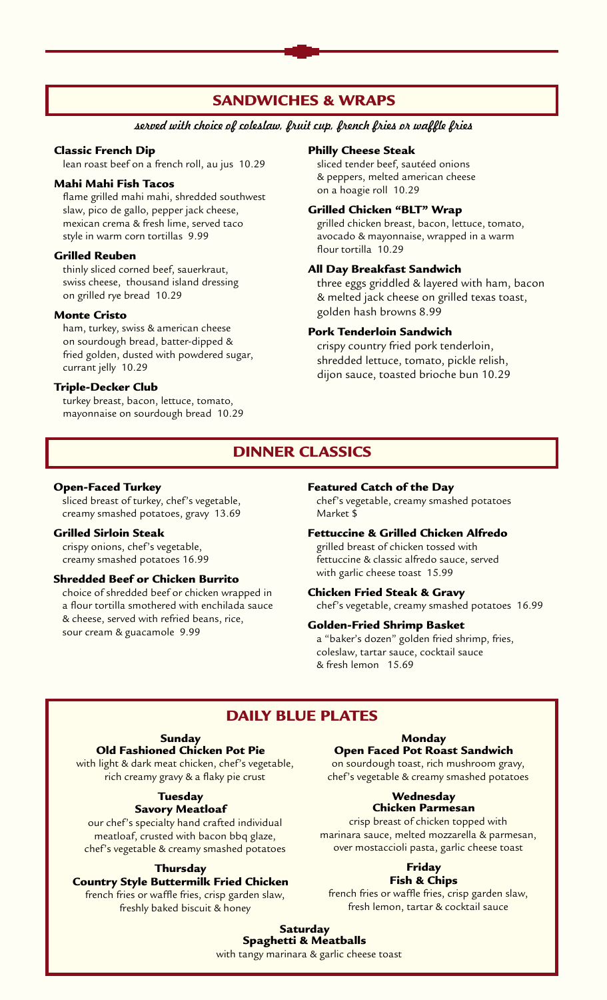## SANDWICHES & WRAPS

### *served with choice of coleslaw, fruit cup, french fries or waffle fries*

#### Classic French Dip

lean roast beef on a french roll, au jus 10.29

#### Mahi Mahi Fish Tacos

 flame grilled mahi mahi, shredded southwest slaw, pico de gallo, pepper jack cheese, mexican crema & fresh lime, served taco style in warm corn tortillas 9.99

#### Grilled Reuben

thinly sliced corned beef, sauerkraut, swiss cheese, thousand island dressing on grilled rye bread 10.29

### Monte Cristo

ham, turkey, swiss & american cheese on sourdough bread, batter-dipped & fried golden, dusted with powdered sugar, currant jelly 10.29

#### Triple-Decker Club

turkey breast, bacon, lettuce, tomato, mayonnaise on sourdough bread 10.29

#### Philly Cheese Steak

sliced tender beef, sautéed onions & peppers, melted american cheese on a hoagie roll 10.29

#### Grilled Chicken "BLT" Wrap

 grilled chicken breast, bacon, lettuce, tomato, avocado & mayonnaise, wrapped in a warm flour tortilla 10.29

#### All Day Breakfast Sandwich

three eggs griddled & layered with ham, bacon & melted jack cheese on grilled texas toast, golden hash browns 8.99

#### Pork Tenderloin Sandwich

 crispy country fried pork tenderloin, shredded lettuce, tomato, pickle relish, dijon sauce, toasted brioche bun 10.29

## DINNER CLASSICS

#### Open-Faced Turkey

sliced breast of turkey, chef's vegetable, creamy smashed potatoes, gravy 13.69

#### Grilled Sirloin Steak

crispy onions, chef's vegetable, creamy smashed potatoes 16.99

#### Shredded Beef or Chicken Burrito

 choice of shredded beef or chicken wrapped in a flour tortilla smothered with enchilada sauce & cheese, served with refried beans, rice, sour cream & guacamole 9.99

## Featured Catch of the Day

chef's vegetable, creamy smashed potatoes Market \$

### Fettuccine & Grilled Chicken Alfredo

grilled breast of chicken tossed with fettuccine & classic alfredo sauce, served with garlic cheese toast 15.99

#### Chicken Fried Steak & Gravy

chef's vegetable, creamy smashed potatoes 16.99

#### Golden-Fried Shrimp Basket

a "baker's dozen" golden fried shrimp, fries, coleslaw, tartar sauce, cocktail sauce & fresh lemon 15.69

## Daily Blue Plates

## Sunday

Old Fashioned Chicken Pot Pie

with light & dark meat chicken, chef's vegetable, rich creamy gravy & a flaky pie crust

### **Tuesday** Savory Meatloaf

our chef's specialty hand crafted individual meatloaf, crusted with bacon bbq glaze, chef's vegetable & creamy smashed potatoes

## **Thursday**

## Country Style Buttermilk Fried Chicken

french fries or waffle fries, crisp garden slaw, freshly baked biscuit & honey

### Monday

#### Open Faced Pot Roast Sandwich

on sourdough toast, rich mushroom gravy, chef's vegetable & creamy smashed potatoes

#### **Wednesday** Chicken Parmesan

crisp breast of chicken topped with marinara sauce, melted mozzarella & parmesan, over mostaccioli pasta, garlic cheese toast

## Friday

#### Fish & Chips

french fries or waffle fries, crisp garden slaw, fresh lemon, tartar & cocktail sauce

#### **Saturday** Spaghetti & Meatballs

with tangy marinara & garlic cheese toast